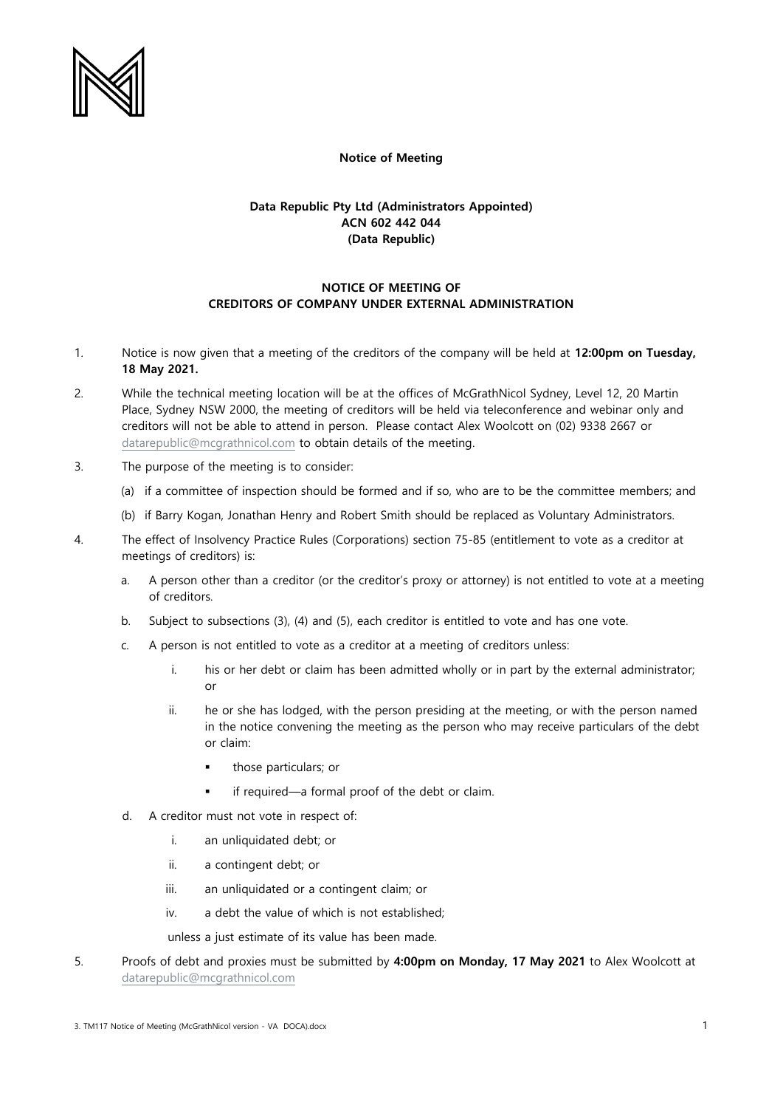

## **Notice of Meeting**

## **Data Republic Pty Ltd (Administrators Appointed) ACN 602 442 044 (Data Republic)**

## **NOTICE OF MEETING OF CREDITORS OF COMPANY UNDER EXTERNAL ADMINISTRATION**

- 1. Notice is now given that a meeting of the creditors of the company will be held at **12:00pm on Tuesday, 18 May 2021.**
- 2. While the technical meeting location will be at the offices of McGrathNicol Sydney, Level 12, 20 Martin Place, Sydney NSW 2000, the meeting of creditors will be held via teleconference and webinar only and creditors will not be able to attend in person. Please contact Alex Woolcott on (02) 9338 2667 or [datarepublic@mcgrathnicol.com](mailto:datarepublic@mcgrathnicol.com) to obtain details of the meeting.
- 3. The purpose of the meeting is to consider:
	- (a) if a committee of inspection should be formed and if so, who are to be the committee members; and
	- (b) if Barry Kogan, Jonathan Henry and Robert Smith should be replaced as Voluntary Administrators.
- 4. The effect of Insolvency Practice Rules (Corporations) section 75-85 (entitlement to vote as a creditor at meetings of creditors) is:
	- a. A person other than a creditor (or the creditor's proxy or attorney) is not entitled to vote at a meeting of creditors.
	- b. Subject to subsections (3), (4) and (5), each creditor is entitled to vote and has one vote.
	- c. A person is not entitled to vote as a creditor at a meeting of creditors unless:
		- i. his or her debt or claim has been admitted wholly or in part by the external administrator; or
		- ii. he or she has lodged, with the person presiding at the meeting, or with the person named in the notice convening the meeting as the person who may receive particulars of the debt or claim:
			- those particulars; or
			- if required—a formal proof of the debt or claim.
	- d. A creditor must not vote in respect of:
		- i. an unliquidated debt; or
		- ii. a contingent debt; or
		- iii. an unliquidated or a contingent claim; or
		- iv. a debt the value of which is not established;

unless a just estimate of its value has been made.

5. Proofs of debt and proxies must be submitted by **4:00pm on Monday, 17 May 2021** to Alex Woolcott at [datarepublic@mcgrathnicol.com](mailto:datarepublic@mcgrathnicol.com)